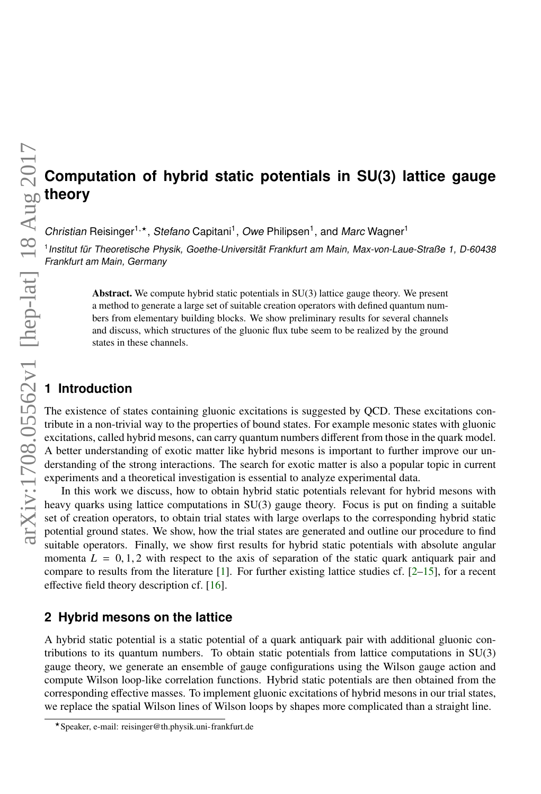# **Computation of hybrid static potentials in SU(3) lattice gauge theory**

Christian Reisinger<sup>1,\*</sup> , Stefano Capitani<sup>1</sup>, Owe Philipsen<sup>1</sup>, and Marc Wagner<sup>1</sup>

1 Institut für Theoretische Physik, Goethe-Universität Frankfurt am Main, Max-von-Laue-Straße 1, D-60438 Frankfurt am Main, Germany

> Abstract. We compute hybrid static potentials in SU(3) lattice gauge theory. We present a method to generate a large set of suitable creation operators with defined quantum numbers from elementary building blocks. We show preliminary results for several channels and discuss, which structures of the gluonic flux tube seem to be realized by the ground states in these channels.

# **1 Introduction**

The existence of states containing gluonic excitations is suggested by QCD. These excitations contribute in a non-trivial way to the properties of bound states. For example mesonic states with gluonic excitations, called hybrid mesons, can carry quantum numbers different from those in the quark model. A better understanding of exotic matter like hybrid mesons is important to further improve our understanding of the strong interactions. The search for exotic matter is also a popular topic in current experiments and a theoretical investigation is essential to analyze experimental data.

In this work we discuss, how to obtain hybrid static potentials relevant for hybrid mesons with heavy quarks using lattice computations in SU(3) gauge theory. Focus is put on finding a suitable set of creation operators, to obtain trial states with large overlaps to the corresponding hybrid static potential ground states. We show, how the trial states are generated and outline our procedure to find suitable operators. Finally, we show first results for hybrid static potentials with absolute angular momenta  $L = 0, 1, 2$  with respect to the axis of separation of the static quark antiquark pair and compare to results from the literature  $[1]$ . For further existing lattice studies cf.  $[2-15]$  $[2-15]$ , for a recent effective field theory description cf. [\[16\]](#page-7-2).

## **2 Hybrid mesons on the lattice**

A hybrid static potential is a static potential of a quark antiquark pair with additional gluonic contributions to its quantum numbers. To obtain static potentials from lattice computations in SU(3) gauge theory, we generate an ensemble of gauge configurations using the Wilson gauge action and compute Wilson loop-like correlation functions. Hybrid static potentials are then obtained from the corresponding effective masses. To implement gluonic excitations of hybrid mesons in our trial states, we replace the spatial Wilson lines of Wilson loops by shapes more complicated than a straight line.

<sup>?</sup>Speaker, e-mail: reisinger@th.physik.uni-frankfurt.de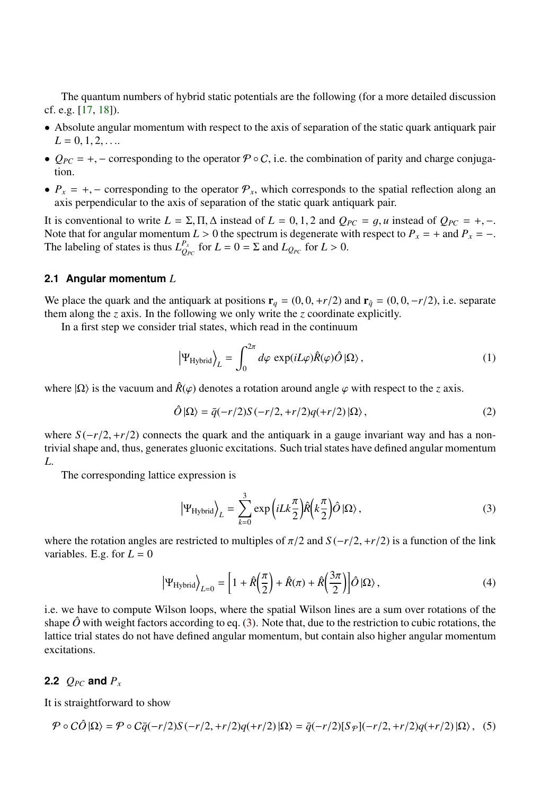The quantum numbers of hybrid static potentials are the following (for a more detailed discussion cf. e.g. [\[17,](#page-7-3) [18\]](#page-7-4)).

- Absolute angular momentum with respect to the axis of separation of the static quark antiquark pair  $L = 0, 1, 2, \ldots$
- $Q_{PC} = +$ , corresponding to the operator  $\mathcal{P} \circ C$ , i.e. the combination of parity and charge conjugation.
- $P_x = +$ , corresponding to the operator  $P_x$ , which corresponds to the spatial reflection along an axis perpendicular to the axis of separation of the static quark antiquark pair.

It is conventional to write  $L = \Sigma, \Pi, \Delta$  instead of  $L = 0, 1, 2$  and  $Q_{PC} = g, u$  instead of  $Q_{PC} = +, -$ . Note that for angular momentum  $L > 0$  the spectrum is degenerate with respect to  $P_x = +$  and  $P_x = -$ .<br>The labeling of states is thus  $L_{Q_{PC}}^{P_x}$  for  $L = 0 = \Sigma$  and  $L_{Q_{PC}}$  for  $L > 0$ .

#### **2.1 Angular momentum** *L*

We place the quark and the antiquark at positions  $\mathbf{r}_q = (0, 0, +r/2)$  and  $\mathbf{r}_{\bar{q}} = (0, 0, -r/2)$ , i.e. separate them along the *z* axis. In the following we only write the *z* coordinate explicitly.

In a first step we consider trial states, which read in the continuum

$$
\left|\Psi_{\text{Hybrid}}\right\rangle_{L} = \int_{0}^{2\pi} d\varphi \, \exp(iL\varphi)\hat{R}(\varphi)\hat{O}|\Omega\rangle, \tag{1}
$$

where  $|Ω\rangle$  is the vacuum and  $\hat{R}(\varphi)$  denotes a rotation around angle  $\varphi$  with respect to the *z* axis.

$$
\hat{O}|\Omega\rangle = \bar{q}(-r/2)S(-r/2, +r/2)q(+r/2)|\Omega\rangle, \qquad (2)
$$

where *S*(−*r*/2, +*r*/2) connects the quark and the antiquark in a gauge invariant way and has a nontrivial shape and, thus, generates gluonic excitations. Such trial states have defined angular momentum *L*.

The corresponding lattice expression is

<span id="page-1-0"></span>
$$
\left|\Psi_{\text{Hybrid}}\right\rangle_{L} = \sum_{k=0}^{3} \exp\left(i L k \frac{\pi}{2}\right) \hat{R}\left(k \frac{\pi}{2}\right) \hat{O}\left|\Omega\right\rangle,\tag{3}
$$

where the rotation angles are restricted to multiples of  $\pi/2$  and  $S(-r/2, +r/2)$  is a function of the link variables. E.g. for  $L = 0$ 

$$
\left|\Psi_{\text{Hybrid}}\right\rangle_{L=0} = \left[1 + \hat{R}\left(\frac{\pi}{2}\right) + \hat{R}(\pi) + \hat{R}\left(\frac{3\pi}{2}\right)\right] \hat{O}\left|\Omega\right\rangle,\tag{4}
$$

i.e. we have to compute Wilson loops, where the spatial Wilson lines are a sum over rotations of the shape  $\hat{O}$  with weight factors according to eq. [\(3\)](#page-1-0). Note that, due to the restriction to cubic rotations, the lattice trial states do not have defined angular momentum, but contain also higher angular momentum excitations.

### **2.2**  $Q_{PC}$  and  $P_x$

It is straightforward to show

$$
\mathcal{P} \circ C\hat{O}|\Omega\rangle = \mathcal{P} \circ C\bar{q}(-r/2)S(-r/2, +r/2)q(+r/2)|\Omega\rangle = \bar{q}(-r/2)[S_{\mathcal{P}}](-r/2, +r/2)q(+r/2)|\Omega\rangle, \tag{5}
$$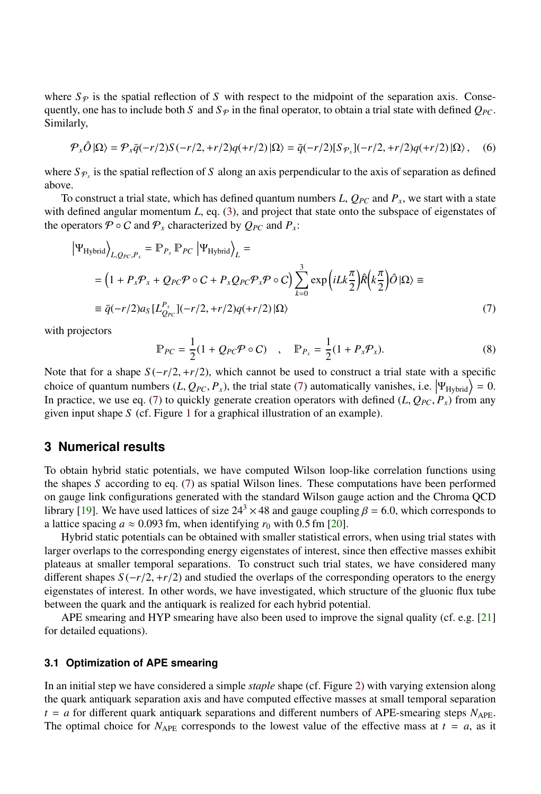where  $S_p$  is the spatial reflection of *S* with respect to the midpoint of the separation axis. Consequently, one has to include both *S* and  $S_p$  in the final operator, to obtain a trial state with defined  $Q_{PC}$ . Similarly,

$$
\mathcal{P}_x \hat{O} | \Omega \rangle = \mathcal{P}_x \bar{q}(-r/2)S(-r/2, +r/2)q(+r/2) | \Omega \rangle = \bar{q}(-r/2)[S_{\mathcal{P}_x}](-r/2, +r/2)q(+r/2) | \Omega \rangle, \quad (6)
$$

where  $S_{\mathcal{P}_x}$  is the spatial reflection of *S* along an axis perpendicular to the axis of separation as defined above.

To construct a trial state, which has defined quantum numbers  $L$ ,  $Q_{PC}$  and  $P_x$ , we start with a state with defined angular momentum *L*, eq. [\(3\)](#page-1-0), and project that state onto the subspace of eigenstates of the operators  $\mathcal{P} \circ \mathcal{C}$  and  $\mathcal{P}_x$  characterized by  $Q_{\mathit{PC}}$  and  $P_x$ .

<span id="page-2-0"></span>
$$
\left|\Psi_{\text{Hybrid}}\right\rangle_{L,Q_{PC},P_x} = \mathbb{P}_{P_x} \mathbb{P}_{PC} \left|\Psi_{\text{Hybrid}}\right\rangle_{L} =
$$
\n
$$
= \left(1 + P_x \mathcal{P}_x + Q_{PC} \mathcal{P} \circ C + P_x Q_{PC} \mathcal{P}_x \mathcal{P} \circ C\right) \sum_{k=0}^{3} \exp\left(i L k \frac{\pi}{2}\right) \hat{R}\left(k \frac{\pi}{2}\right) \hat{O} \left|\Omega\right\rangle \equiv
$$
\n
$$
\equiv \bar{q}(-r/2) a_S [L_{Q_{PC}}^{P_x}] (-r/2, +r/2) q(+r/2) \left|\Omega\right\rangle \tag{7}
$$

with projectors

$$
\mathbb{P}_{PC} = \frac{1}{2}(1 + Q_{PC}\mathcal{P} \circ C) \quad , \quad \mathbb{P}_{P_x} = \frac{1}{2}(1 + P_x \mathcal{P}_x). \tag{8}
$$

Note that for a shape  $S(-r/2, +r/2)$ , which cannot be used to construct a trial state with a specific choice of quantum numbers  $(L, Q_{PC}, P_x)$ , the trial state [\(7\)](#page-2-0) automatically vanishes, i.e.  $|\Psi_{Hybrid}\rangle = 0$ .<br>In practice, we use eq. (7) to quickly generate creation operators with defined  $(L, Q_{DC}, P)$  from any In practice, we use eq. [\(7\)](#page-2-0) to quickly generate creation operators with defined  $(L, Q_{PC}, P_x)$  from any given input shape *S* (cf. Figure [1](#page-3-0) for a graphical illustration of an example).

## **3 Numerical results**

To obtain hybrid static potentials, we have computed Wilson loop-like correlation functions using the shapes *S* according to eq. [\(7\)](#page-2-0) as spatial Wilson lines. These computations have been performed on gauge link configurations generated with the standard Wilson gauge action and the Chroma QCD library [\[19\]](#page-7-5). We have used lattices of size  $24<sup>3</sup> \times 48$  and gauge coupling  $\beta = 6.0$ , which corresponds to a lattice spacing  $a \approx 0.093$  fm, when identifying  $r_0$  with 0.5 fm [\[20\]](#page-7-6).

Hybrid static potentials can be obtained with smaller statistical errors, when using trial states with larger overlaps to the corresponding energy eigenstates of interest, since then effective masses exhibit plateaus at smaller temporal separations. To construct such trial states, we have considered many different shapes *<sup>S</sup>* (−*r*/2, <sup>+</sup>*r*/2) and studied the overlaps of the corresponding operators to the energy eigenstates of interest. In other words, we have investigated, which structure of the gluonic flux tube between the quark and the antiquark is realized for each hybrid potential.

APE smearing and HYP smearing have also been used to improve the signal quality (cf. e.g. [\[21\]](#page-7-7) for detailed equations).

#### **3.1 Optimization of APE smearing**

In an initial step we have considered a simple *staple* shape (cf. Figure [2\)](#page-4-0) with varying extension along the quark antiquark separation axis and have computed effective masses at small temporal separation  $t = a$  for different quark antiquark separations and different numbers of APE-smearing steps  $N_{APE}$ . The optimal choice for  $N_{\text{APE}}$  corresponds to the lowest value of the effective mass at  $t = a$ , as it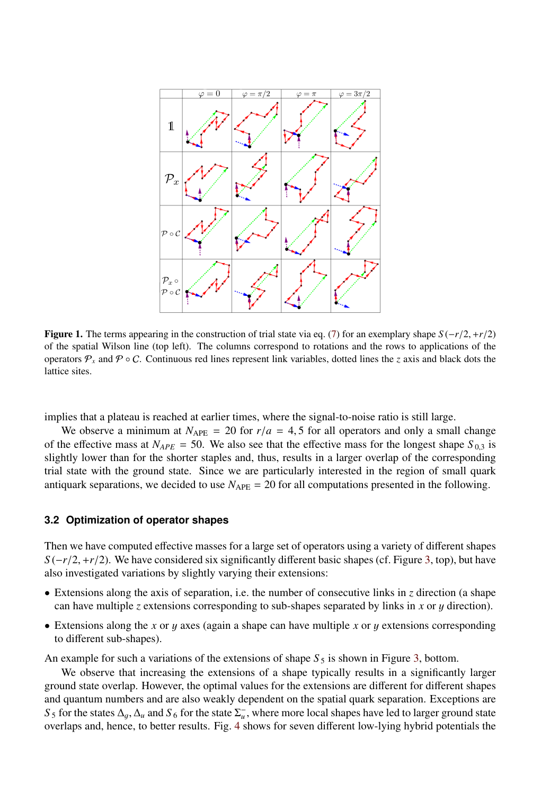

<span id="page-3-0"></span>**Figure 1.** The terms appearing in the construction of trial state via eq. [\(7\)](#page-2-0) for an exemplary shape  $S(-r/2, +r/2)$ of the spatial Wilson line (top left). The columns correspond to rotations and the rows to applications of the operators  $\mathcal{P}_x$  and  $\mathcal{P} \circ \mathcal{C}$ . Continuous red lines represent link variables, dotted lines the *z* axis and black dots the lattice sites.

implies that a plateau is reached at earlier times, where the signal-to-noise ratio is still large.

We observe a minimum at  $N_{\text{APE}} = 20$  for  $r/a = 4, 5$  for all operators and only a small change of the effective mass at  $N_{APE} = 50$ . We also see that the effective mass for the longest shape  $S_{0,3}$  is slightly lower than for the shorter staples and, thus, results in a larger overlap of the corresponding trial state with the ground state. Since we are particularly interested in the region of small quark antiquark separations, we decided to use  $N_{\text{APE}} = 20$  for all computations presented in the following.

#### <span id="page-3-1"></span>**3.2 Optimization of operator shapes**

Then we have computed effective masses for a large set of operators using a variety of different shapes *S* (−*r*/2, +*r*/2). We have considered six significantly different basic shapes (cf. Figure [3,](#page-5-0) top), but have also investigated variations by slightly varying their extensions:

- Extensions along the axis of separation, i.e. the number of consecutive links in *z* direction (a shape can have multiple *<sup>z</sup>* extensions corresponding to sub-shapes separated by links in *<sup>x</sup>* or y direction).
- Extensions along the *<sup>x</sup>* or y axes (again a shape can have multiple *<sup>x</sup>* or y extensions corresponding to different sub-shapes).

An example for such a variations of the extensions of shape  $S_5$  is shown in Figure [3,](#page-5-0) bottom.

We observe that increasing the extensions of a shape typically results in a significantly larger ground state overlap. However, the optimal values for the extensions are different for different shapes and quantum numbers and are also weakly dependent on the spatial quark separation. Exceptions are  $S_5$  for the states  $\Delta_g$ ,  $\Delta_u$  and  $S_6$  for the state  $\Sigma_u^-$ , where more local shapes have led to larger ground state<br>overlaps and hence to better results. Fig. 4 shows for seven different low-lying hybrid potentials overlaps and, hence, to better results. Fig. [4](#page-5-1) shows for seven different low-lying hybrid potentials the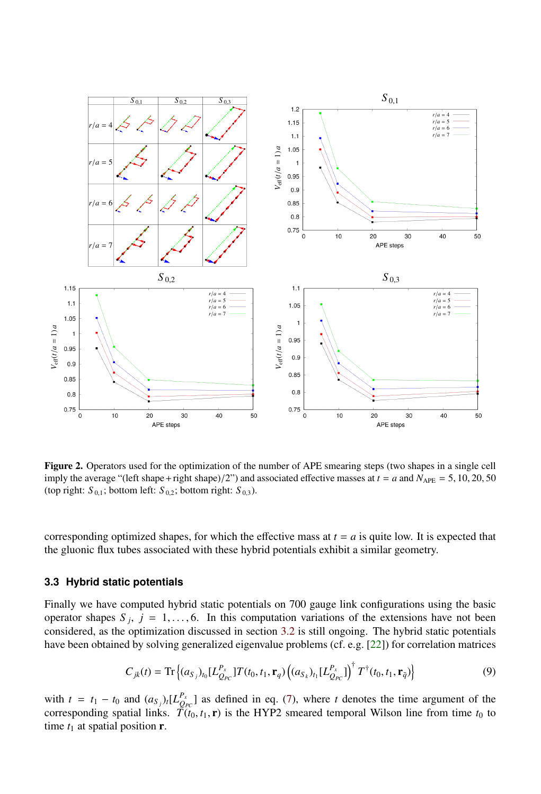

<span id="page-4-0"></span>Figure 2. Operators used for the optimization of the number of APE smearing steps (two shapes in a single cell imply the average "(left shape+right shape)/2") and associated effective masses at  $t = a$  and  $N_{\text{APE}} = 5, 10, 20, 50$ (top right:  $S_{0,1}$ ; bottom left:  $S_{0,2}$ ; bottom right:  $S_{0,3}$ ).

corresponding optimized shapes, for which the effective mass at  $t = a$  is quite low. It is expected that the gluonic flux tubes associated with these hybrid potentials exhibit a similar geometry.

#### **3.3 Hybrid static potentials**

Finally we have computed hybrid static potentials on 700 gauge link configurations using the basic operator shapes  $S_j$ ,  $j = 1, \ldots, 6$ . In this computation variations of the extensions have not been<br>considered as the optimization discussed in section 3.2 is still oppoing. The hybrid static potentials considered, as the optimization discussed in section [3.2](#page-3-1) is still ongoing. The hybrid static potentials have been obtained by solving generalized eigenvalue problems (cf. e.g.  $[22]$ ) for correlation matrices

$$
C_{jk}(t) = \text{Tr}\left\{ (a_{S_j})_{t_0} [L_{Q_{PC}}^{P_x}] T(t_0, t_1, \mathbf{r}_q) \left( (a_{S_k})_{t_1} [L_{Q_{PC}}^{P_x}] \right)^{\dagger} T^{\dagger}(t_0, t_1, \mathbf{r}_{\bar{q}}) \right\}
$$
(9)

with  $t = t_1 - t_0$  and  $(a_{S_j})$ , [ $L_{Q_{PC}}^{P_X}$ ] as defined in eq. [\(7\)](#page-2-0), where *t* denotes the time argument of the corresponding spatial links.  $\overline{T}(t_0, t_1, \mathbf{r})$  is the HYP2 smeared temporal Wilson line from time  $t_0$  to time *t*<sub>0</sub> at spatial position **r** time  $t_1$  at spatial position  $\mathbf{r}$ .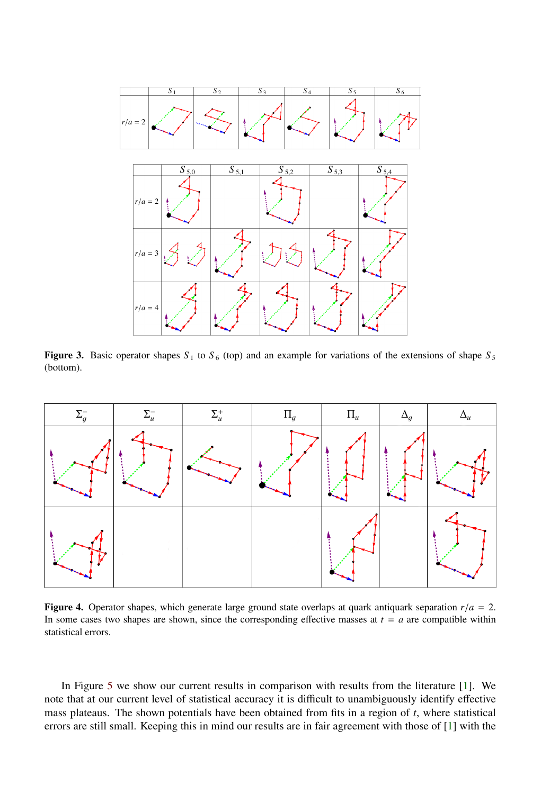

<span id="page-5-0"></span>**Figure 3.** Basic operator shapes  $S_1$  to  $S_6$  (top) and an example for variations of the extensions of shape  $S_5$ (bottom).



<span id="page-5-1"></span>**Figure 4.** Operator shapes, which generate large ground state overlaps at quark antiquark separation  $r/a = 2$ . In some cases two shapes are shown, since the corresponding effective masses at  $t = a$  are compatible within statistical errors.

In Figure [5](#page-6-1) we show our current results in comparison with results from the literature [\[1\]](#page-6-0). We note that at our current level of statistical accuracy it is difficult to unambiguously identify effective mass plateaus. The shown potentials have been obtained from fits in a region of *t*, where statistical errors are still small. Keeping this in mind our results are in fair agreement with those of [\[1\]](#page-6-0) with the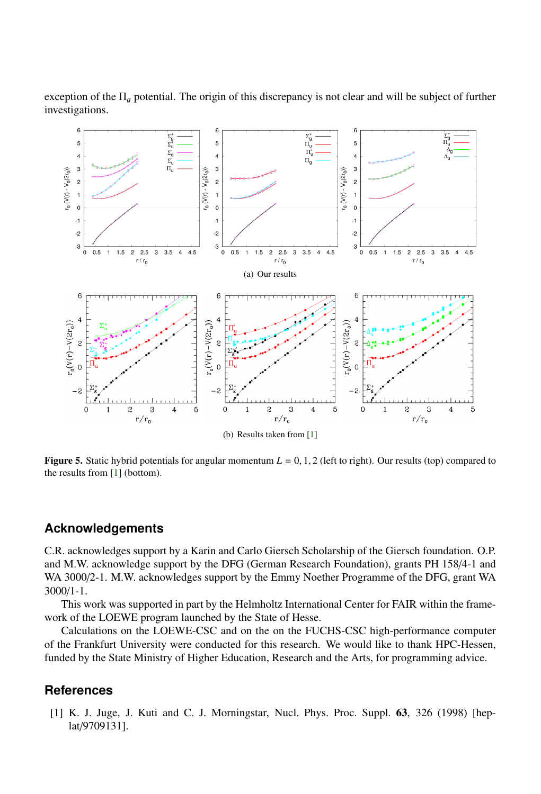exception of the  $\Pi_q$  potential. The origin of this discrepancy is not clear and will be subject of further investigations.



<span id="page-6-1"></span>Figure 5. Static hybrid potentials for angular momentum  $L = 0, 1, 2$  (left to right). Our results (top) compared to the results from [\[1\]](#page-6-0) (bottom).

# **Acknowledgements**

C.R. acknowledges support by a Karin and Carlo Giersch Scholarship of the Giersch foundation. O.P. and M.W. acknowledge support by the DFG (German Research Foundation), grants PH 158/4-1 and WA 3000/2-1. M.W. acknowledges support by the Emmy Noether Programme of the DFG, grant WA 3000/1-1.

This work was supported in part by the Helmholtz International Center for FAIR within the framework of the LOEWE program launched by the State of Hesse.

Calculations on the LOEWE-CSC and on the on the FUCHS-CSC high-performance computer of the Frankfurt University were conducted for this research. We would like to thank HPC-Hessen, funded by the State Ministry of Higher Education, Research and the Arts, for programming advice.

## **References**

<span id="page-6-0"></span>[1] K. J. Juge, J. Kuti and C. J. Morningstar, Nucl. Phys. Proc. Suppl. 63, 326 (1998) [heplat/9709131].